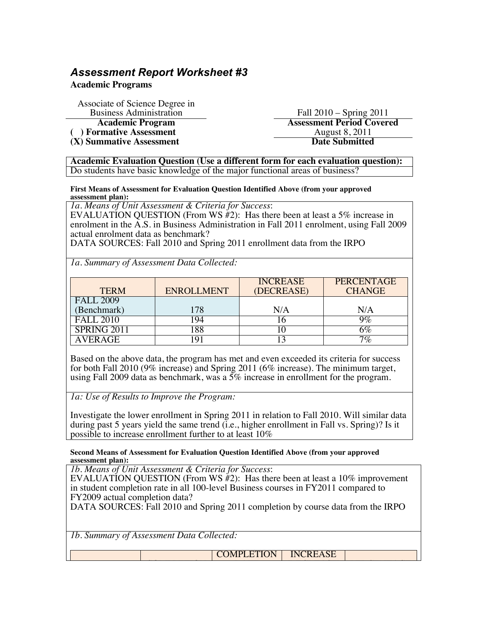# *Assessment Report Worksheet #3*

**Academic Programs**

Associate of Science Degree in Business Administration Fall 2010 – Spring 2011 **Academic Program**<br> **Assessment Period Covered**<br> **Assessment Period Covered**<br> **August 8, 2011** 

(a) Formative Assessment<br>
(X) Summative Assessment<br>
August 8, 2011<br>
Date Submitted **(X) Summative Assessment** 

**Academic Evaluation Question (Use a different form for each evaluation question):** Do students have basic knowledge of the major functional areas of business?

**First Means of Assessment for Evaluation Question Identified Above (from your approved assessment plan):**

*1a. Means of Unit Assessment & Criteria for Success*:

EVALUATION QUESTION (From WS  $#2$ ): Has there been at least a 5% increase in enrolment in the  $\overline{A}.S$  in Business Administration in Fall 2011 enrolment, using Fall 2009 actual enrolment data as benchmark?

DATA SOURCES: Fall 2010 and Spring 2011 enrollment data from the IRPO

*1a. Summary of Assessment Data Collected:*

| <b>TERM</b>                     | <b>ENROLLMENT</b> | <b>INCREASE</b><br>(DECREASE) | <b>PERCENTAGE</b><br><b>CHANGE</b> |
|---------------------------------|-------------------|-------------------------------|------------------------------------|
| <b>FALL 2009</b><br>(Benchmark) | 178               | N/A                           | N/A                                |
| <b>FALL 2010</b>                | -94               |                               | $9\%$                              |
| SPRING 2011                     | 88                |                               | 6%                                 |
| AVER AGE                        | $Q_1$             |                               | $7\%$                              |

Based on the above data, the program has met and even exceeded its criteria for success for both Fall 2010 (9% increase) and Spring 2011 (6% increase). The minimum target, using Fall 2009 data as benchmark, was a 5% increase in enrollment for the program.

*1a: Use of Results to Improve the Program:*

Investigate the lower enrollment in Spring 2011 in relation to Fall 2010. Will similar data during past 5 years yield the same trend (i.e., higher enrollment in Fall vs. Spring)? Is it possible to increase enrollment further to at least 10%

#### **Second Means of Assessment for Evaluation Question Identified Above (from your approved assessment plan):**

*1b. Means of Unit Assessment & Criteria for Success*:

Complete the complete state of the complete state of the complete state of the complete state of the complete

EVALUATION QUESTION (From WS  $\H{H}_2$ ): Has there been at least a 10% improvement in student completion rate in all 100-level Business courses in FY2011 compared to FY2009 actual completion data?

DATA SOURCES: Fall 2010 and Spring 2011 completion by course data from the IRPO

RATE

*1b. Summary of Assessment Data Collected:*

**COMPLETION** INCREASE

(DECREASE) PERCENTAGE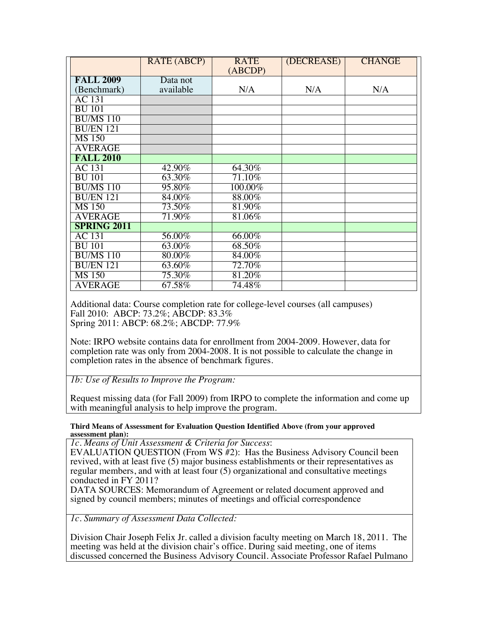|                    | RATE (ABCP) | <b>RATE</b><br>(ABCDP) | (DECREASE) | <b>CHANGE</b> |
|--------------------|-------------|------------------------|------------|---------------|
| <b>FALL 2009</b>   | Data not    |                        |            |               |
| (Benchmark)        | available   | N/A                    | N/A        | N/A           |
| <b>AC</b> 131      |             |                        |            |               |
| <b>BU 101</b>      |             |                        |            |               |
| <b>BU/MS 110</b>   |             |                        |            |               |
| <b>BU/EN 121</b>   |             |                        |            |               |
| <b>MS 150</b>      |             |                        |            |               |
| <b>AVERAGE</b>     |             |                        |            |               |
| <b>FALL 2010</b>   |             |                        |            |               |
| <b>AC</b> 131      | 42.90%      | 64.30%                 |            |               |
| <b>BU 101</b>      | 63.30%      | 71.10%                 |            |               |
| <b>BU/MS 110</b>   | 95.80%      | 100.00%                |            |               |
| <b>BU/EN 121</b>   | 84.00%      | 88.00%                 |            |               |
| <b>MS 150</b>      | 73.50%      | 81.90%                 |            |               |
| <b>AVERAGE</b>     | 71.90%      | 81.06%                 |            |               |
| <b>SPRING 2011</b> |             |                        |            |               |
| <b>AC</b> 131      | 56.00%      | 66.00%                 |            |               |
| <b>BU 101</b>      | 63.00%      | 68.50%                 |            |               |
| <b>BU/MS 110</b>   | 80.00%      | 84.00%                 |            |               |
|                    |             | 72.70%                 |            |               |
| <b>BU/EN 121</b>   | 63.60%      |                        |            |               |
| <b>MS 150</b>      | 75.30%      | 81.20%                 |            |               |
| <b>AVERAGE</b>     | 67.58%      | 74.48%                 |            |               |

Additional data: Course completion rate for college-level courses (all campuses) Fall 2010: ABCP: 73.2%; ABCDP: 83.3% Spring 2011: ABCP: 68.2%; ABCDP: 77.9%

Note: IRPO website contains data for enrollment from 2004-2009. However, data for completion rate was only from 2004-2008. It is not possible to calculate the change in completion rates in the absence of benchmark figures.

*1b: Use of Results to Improve the Program:*

Request missing data (for Fall 2009) from IRPO to complete the information and come up with meaningful analysis to help improve the program.

### **Third Means of Assessment for Evaluation Question Identified Above (from your approved assessment plan):**

*1c. Means of Unit Assessment & Criteria for Success*:

EVALUATION QUESTION (From WS #2): Has the Business Advisory Council been revived, with at least five (5) major business establishments or their representatives as regular members, and with at least four (5) organizational and consultative meetings conducted in FY 2011?

DATA SOURCES: Memorandum of Agreement or related document approved and signed by council members; minutes of meetings and official correspondence

*1c. Summary of Assessment Data Collected:*

Division Chair Joseph Felix Jr. called a division faculty meeting on March 18, 2011. The meeting was held at the division chair's office. During said meeting, one of items discussed concerned the Business Advisory Council. Associate Professor Rafael Pulmano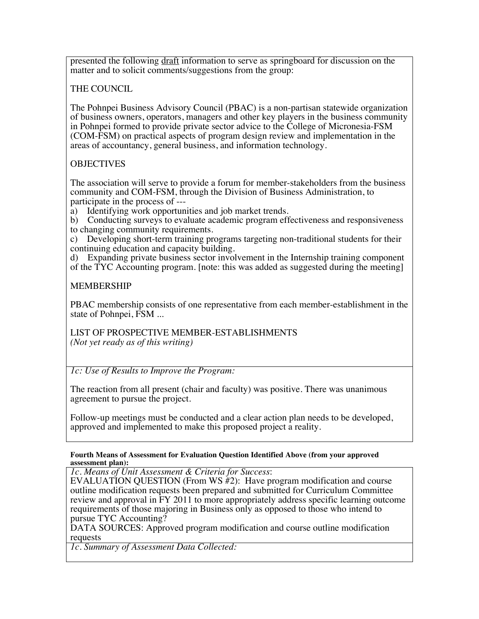presented the following draft information to serve as springboard for discussion on the matter and to solicit comments/suggestions from the group:

### THE COUNCIL

The Pohnpei Business Advisory Council (PBAC) is a non-partisan statewide organization of business owners, operators, managers and other key players in the business community in Pohnpei formed to provide private sector advice to the College of Micronesia-FSM (COM-FSM) on practical aspects of program design review and implementation in the areas of accountancy, general business, and information technology.

## **OBJECTIVES**

The association will serve to provide a forum for member-stakeholders from the business community and COM-FSM, through the Division of Business Administration, to participate in the process of ---

a) Identifying work opportunities and job market trends.

b) Conducting surveys to evaluate academic program effectiveness and responsiveness to changing community requirements.

c) Developing short-term training programs targeting non-traditional students for their continuing education and capacity building.

d) Expanding private business sector involvement in the Internship training component of the TYC Accounting program. [note: this was added as suggested during the meeting]

### MEMBERSHIP

PBAC membership consists of one representative from each member-establishment in the state of Pohnpei, FSM ...

LIST OF PROSPECTIVE MEMBER-ESTABLISHMENTS *(Not yet ready as of this writing)*

*1c: Use of Results to Improve the Program:*

The reaction from all present (chair and faculty) was positive. There was unanimous agreement to pursue the project.

Follow-up meetings must be conducted and a clear action plan needs to be developed, approved and implemented to make this proposed project a reality.

#### **Fourth Means of Assessment for Evaluation Question Identified Above (from your approved assessment plan):**

*1c. Means of Unit Assessment & Criteria for Success*:

EVALUATION QUESTION (From WS #2): Have program modification and course outline modification requests been prepared and submitted for Curriculum Committee review and approval in FY 2011 to more appropriately address specific learning outcome requirements of those majoring in Business only as opposed to those who intend to pursue TYC Accounting?

DATA SOURCES: Approved program modification and course outline modification requests

*1c. Summary of Assessment Data Collected:*